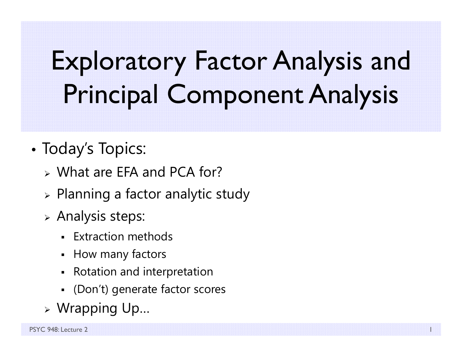# Exploratory Factor Analysis and Principal Component Analysis

- • Today's Topics:
	- What are EFA and PCA for?
	- $\triangleright$  Planning a factor analytic study
	- $\triangleright$  Analysis steps:
		- Extraction methods
		- How many factors
		- Rotation and interpretation
		- (Don't) generate factor scores
	- Wrapping Up…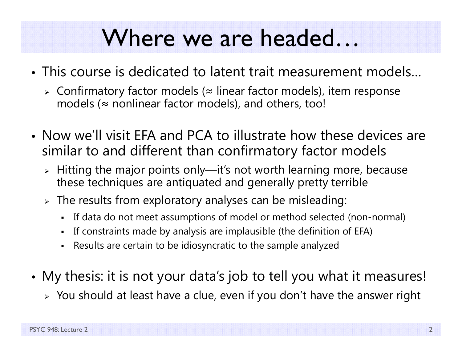#### Where we are headed…

- This course is dedicated to latent trait measurement models…
	- Confirmatory factor models ( <sup>≈</sup> linear factor models), item response models ( <sup>≈</sup> nonlinear factor models), and others, too!
- Now we'll visit EFA and PCA to illustrate how these devices are similar to and different than confirmatory factor models
	- $\triangleright$  Hitting the major points only—it's not worth learning more, because these techniques are antiquated and generally pretty terrible
	- $\triangleright$  The results from exploratory analyses can be misleading:
		- If data do not meet assumptions of model or method selected (non-normal)
		- $\blacksquare$ If constraints made by analysis are implausible (the definition of EFA)
		- n Results are certain to be idiosyncratic to the sample analyzed
- My thesis: it is not your data's job to tell you what it measures!
	- $\triangleright\;$  You should at least have a clue, even if you don't have the answer right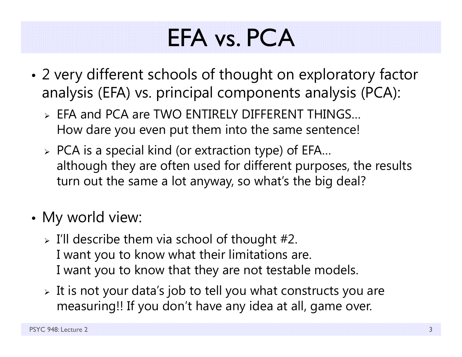# EFA vs. PCA

- • 2 very different schools of thought on exploratory factor analysis (EFA) vs. principal components analysis (PCA):
	- EFA and PCA are TWO ENTIRELY DIFFERENT THINGS… How dare you even put them into the same sentence!
	- $\triangleright$  PCA is a special kind (or extraction type) of EFA... although they are often used for different purposes, the results turn out the same a lot anyway, so what's the big deal?
- • My world view:
	- $\triangleright$  I'll describe them via school of thought #2. I want you to know what their limitations are. I want you to know that they are not testable models.
	- $\triangleright$  It is not your data's job to tell you what constructs you are measuring!! If you don't have any idea at all, game over.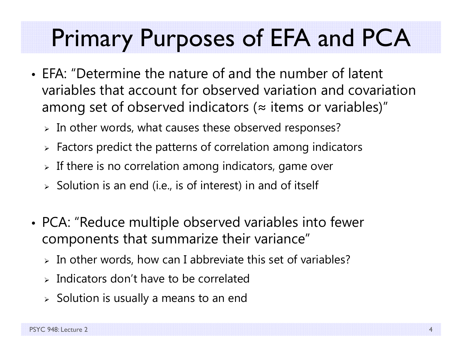## Primary Purposes of EFA and PCA

- EFA: "Determine the nature of and the number of latent variables that account for observed variation and covariation among set of observed indicators ( <sup>≈</sup> items or variables)"
	- $\triangleright$  In other words, what causes these observed responses?
	- $\triangleright$  Factors predict the patterns of correlation among indicators
	- $\triangleright$  If there is no correlation among indicators, game over
	- $\triangleright$  Solution is an end (i.e., is of interest) in and of itself
- • PCA: "Reduce multiple observed variables into fewer components that summarize their variance"
	- $\triangleright$  In other words, how can I abbreviate this set of variables?
	- $\triangleright$  Indicators don't have to be correlated
	- $\triangleright$  Solution is usually a means to an end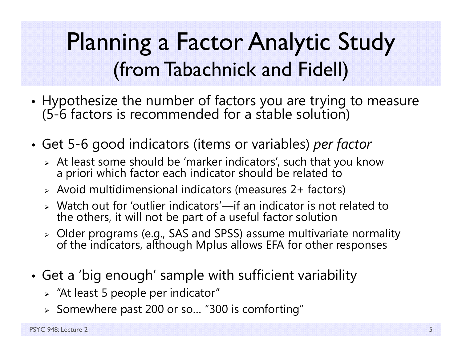#### Planning a Factor Analytic Study (from Tabachnick and Fidell)

- •Hypothesize the number of factors you are trying to measure (5-6 factors is recommended for a stable solution)
- • Get 5-6 good indicators (items or variables) *per factor*
	- At least some should be 'marker indicators', such that you know a priori which factor each indicator should be related to
	- Avoid multidimensional indicators (measures 2+ factors)
	- Watch out for 'outlier indicators'—if an indicator is not related to the others, it will not be part of a useful factor solution
	- > Older programs (e.g., SAS and SPSS) assume multivariate normality Older programs (e.g., SAS and SPSS) assume multivariate normality of the indicators, although Mplus allows EFA for other responses
- • Get a 'big enough' sample with sufficient variability
	- $\triangleright$  "At least 5 people per indicator"
	- $\triangleright$  Somewhere past 200 or so... "300 is comforting"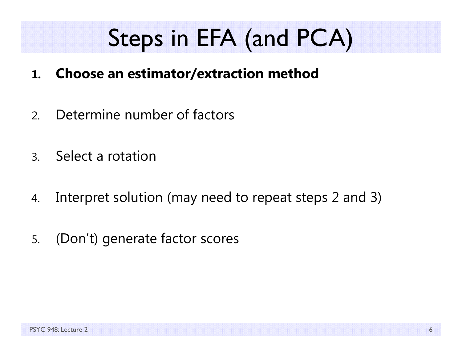# Steps in EFA (and PCA)

- **1.Choose an estimator/extraction method**
- 2.Determine number of factors
- 3.Select a rotation
- 4.Interpret solution (may need to repeat steps 2 and 3)
- 5.(Don't) generate factor scores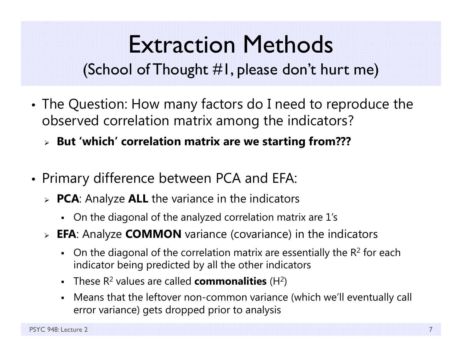#### Extraction Methods (School of Thought #1, please don't hurt me)

- • The Question: How many factors do I need to reproduce the observed correlation matrix among the indicators?
	- **But 'which' correlation matrix are we starting from???**
- • Primary difference between PCA and EFA:
	- **PCA**: Analyze **ALL** the variance in the indicators
		- On the diagonal of the analyzed correlation matrix are 1's
	- **EFA**: Analyze **COMMON** variance (covariance) in the indicators
		- On the diagonal of the correlation matrix are essentially the  $R^2$  for each indicator being predicted by all the other indicators
		- These R 2 values are called **commonalities** (H 2)
		- Means that the leftover non-common variance (which we'll eventually call error variance) gets dropped prior to analysis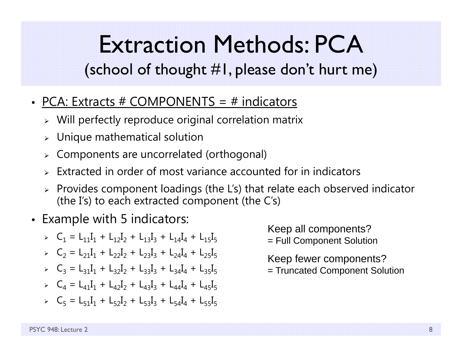### Extraction Methods: PCA

(school of thought #1, please don't hurt me)

- PCA: Extracts # COMPONENTS = # indicators
	- $\triangleright$  Will perfectly reproduce original correlation matrix
	- $\triangleright$  Unique mathematical solution
	- Components are uncorrelated (orthogonal)
	- $\triangleright$  Extracted in order of most variance accounted for in indicators
	- $\triangleright$  Provides component loadings (the L's) that relate each observed indicator (the I's) to each extracted component (the C's)
- Example with 5 indicators:
	- $\triangleright$   $C_1 = L_{11}I_1 + L_{12}I_2 + L_{13}I_3 + L_{14}I_4 + L_{15}I_5$
	- $\triangleright$   $C_2 = L_{21}I_1 + L_{22}I_2 + L_{23}I_3 + L_{24}I_4 + L_{25}I_5$
	- $\angle$  C<sub>3</sub> = L<sub>31</sub>I<sub>1</sub> + L<sub>32</sub>I<sub>2</sub> + L<sub>33</sub>I<sub>3</sub> + L<sub>34</sub>I<sub>4</sub> + L<sub>35</sub>I<sub>5</sub>
	- $\triangleright$   $C_4 = L_{41}I_1 + L_{42}I_2 + L_{43}I_3 + L_{44}I_4 + L_{45}I_5$
	- $\triangleright$   $C_5 = L_{51}I_1 + L_{52}I_2 + L_{53}I_3 + L_{54}I_4 + L_{55}I_5$

Keep all components?

= Full Component Solution

Keep fewer components?

= Truncated Component Solution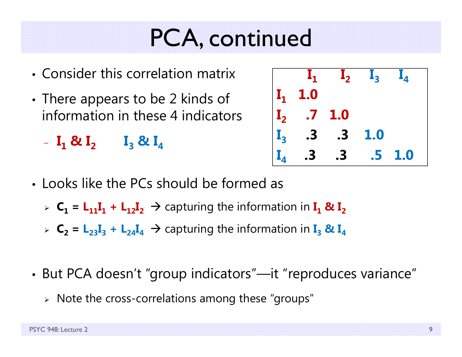#### PCA, continued

- Consider this correlation matrix
- • $\bm{\cdot}$  There appears to be 2 kinds of information in these 4 indicators

 $\mathbf{I}_1 \otimes \mathbf{I}_2 \qquad \mathbf{I}_3 \otimes \mathbf{I}_4$ 

| $\mathbf{I}_1$                                                                | $\mathbf{I}_2$ $\mathbf{I}_3$ |     |     |
|-------------------------------------------------------------------------------|-------------------------------|-----|-----|
|                                                                               |                               |     |     |
|                                                                               | 1.0                           |     |     |
| $\begin{vmatrix} I_1 & 1.0 \\ I_2 & .7 \\ I_3 & .3 \\ I_4 & .3 \end{vmatrix}$ | .3                            | 1.0 |     |
|                                                                               | $\mathbf{.3}$                 | .5  | 1.0 |

- Looks like the PCs should be formed as
	- $\triangleright$   $C_1$  =  $L_{11}I_1$  +  $L_{12}I_2$   $\rightarrow$  capturing the information in  $I_1$  &  $I_2$
	- $\triangleright$   $C_2 = L_{23}I_3 + L_{24}I_4 \rightarrow$  capturing the information in  $I_3$  &  $I_4$
- • But PCA doesn't "group indicators"—it "reproduces variance"
	- $\triangleright$  Note the cross-correlations among these "groups"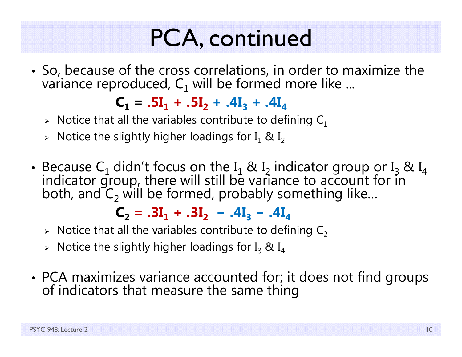## PCA, continued

• So, because of the cross correlations, in order to maximize the variance reproduced,  $\mathsf{C}_1$  will be formed more like ...

 $C_1 = .5I_1 + .5I_2 + .4I_3 + .4I_4$ 

- $\triangleright$  Notice that all the variables contribute to defining  $\mathsf{C}_1$
- $\triangleright$  Notice the slightly higher loadings for I $_1$  & I $_2$
- Because C<sub>1</sub> didn't focus on the I<sub>1</sub> & I<sub>2</sub> indicator group or I<sub>3</sub> & I<sub>4</sub> indicator group, there will still be variance to account for in both, and C<sub>2</sub> will be formed, probably something like... both, and  $C_2$  will be formed, probably something like...

 $C_2$  =  $.3I_1$  +  $.3I_2$  –  $.4I_3$  –  $.4I_4$ 

- $\triangleright$  Notice that all the variables contribute to defining  $\mathsf{C}_2$
- $\triangleright$  Notice the slightly higher loadings for I $_3$  & I $_4$
- •• PCA maximizes variance accounted for; it does not find groups<br>of indicators that measure the same thing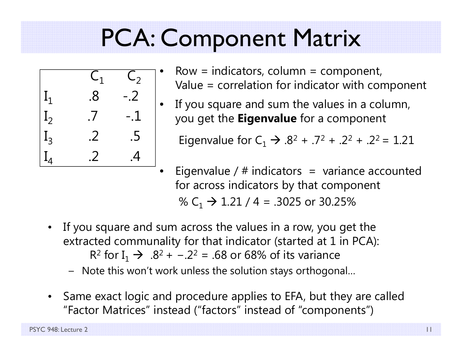# PCA: Component Matrix



- Row  $=$  indicators, column  $=$  component, Value = correlation for indicator with component
- If you square and sum the values in a column, you get the **Eigenvalue** for a component

Eigenvalue for C $_1$   $\rightarrow$  .8<sup>2</sup> + .7<sup>2</sup> + .2<sup>2</sup> + .2<sup>2</sup> = 1.21

- Eigenvalue /  $#$  indicators = variance accounted for across indicators by that component % C $_{1}$   $\rightarrow$  1.21 / 4 = .3025 or 30.25%
- $\bullet$  If you square and sum across the values in a row, you get the extracted communality for that indicator (started at 1 in PCA): R<sup>2</sup> for I<sub>1</sub>  $\rightarrow$  .8<sup>2</sup> + -.2<sup>2</sup> = .68 or 68% of its variance
	- Note this won't work unless the solution stays orthogonal…
- $\bullet$  Same exact logic and procedure applies to EFA, but they are called "Factor Matrices" instead ("factors" instead of "components")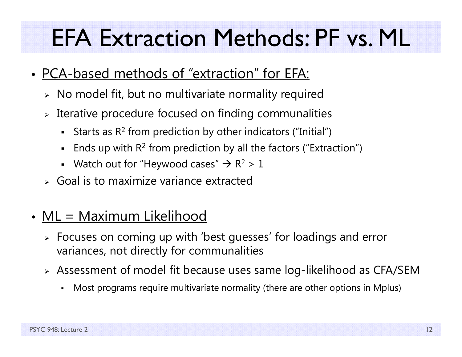## EFA Extraction Methods: PF vs. ML

- PCA-based methods of "extraction" for EFA:
	- $\triangleright\;$  No model fit, but no multivariate normality required
	- $\triangleright$  Iterative procedure focused on finding communalities
		- $\blacksquare$ **Starts as R<sup>2</sup> from prediction by other indicators ("Initial")**
		- **Ends up with R<sup>2</sup> from prediction by all the factors ("Extraction")**
		- Watch out for "Heywood cases"  $\rightarrow$  R<sup>2</sup> > 1
	- $\triangleright$  Goal is to maximize variance extracted
- ML = Maximum Likelihood
	- Focuses on coming up with 'best guesses' for loadings and error variances, not directly for communalities
	- Assessment of model fit because uses same log-likelihood as CFA/SEM
		- n Most programs require multivariate normality (there are other options in Mplus)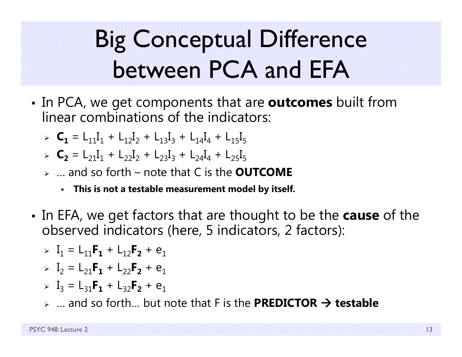# Big Conceptual Difference between PCA and EFA

- • In PCA, we get components that are **outcomes** built from linear combinations of the indicators:
	- $\triangleright$   $C_1 = L_{11}I_1 + L_{12}I_2 + L_{13}I_3 + L_{14}I_4 + L_{15}I_5$
	- $\triangleright$   $C_2$  = L<sub>21</sub>I<sub>1</sub> + L<sub>22</sub>I<sub>2</sub> + L<sub>23</sub>I<sub>3</sub> + L<sub>24</sub>I<sub>4</sub> + L<sub>25</sub>I<sub>5</sub>
	- … and so forth note that C is the **OUTCOME**
		- **This is not a testable measurement model by itself.**
- • In EFA, we get factors that are thought to be the **cause** of the observed indicators (here, 5 indicators, 2 factors):

$$
\triangleright \quad I_1 = L_{11}F_1 + L_{12}F_2 + e_1
$$

- $\triangleright$   $I_2 = L_{21}F_1 + L_{22}F_2 + e_1$
- $\triangleright$   $I_3 = L_{31}F_1 + L_{32}F_2 + e_1$
- … and so forth… but note that F is the **PREDICTOR testable**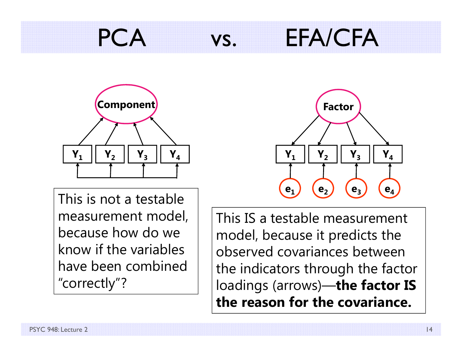### PCA vs. EFA/CFA



This is not a testable measurement model, because how do we know if the variables have been combined "correctly"?



This IS a testable measurement model, because it predicts the observed covariances between the indicators through the factor loadings (arrows)—**the factor IS the reason for the covariance.**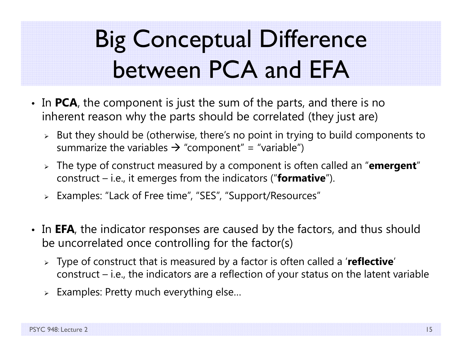# Big Conceptual Difference between PCA and EFA

- In **PCA**, the component is just the sum of the parts, and there is no inherent reason why the parts should be correlated (they just are)
	- $\triangleright$  But they should be (otherwise, there's no point in trying to build components to summarize the variables  $\bm{\rightarrow}$  "component" = "variable")
	- The type of construct measured by a component is often called an "**emergent**" construct – i.e., it emerges from the indicators ("**formative**").
	- Examples: "Lack of Free time", "SES", "Support/Resources"
- In **EFA**, the indicator responses are caused by the factors, and thus should be uncorrelated once controlling for the factor(s)
	- Type of construct that is measured by a factor is often called a '**reflective**' construct – i.e., the indicators are a reflection of your status on the latent variable
	- $\triangleright$  Examples: Pretty much everything else...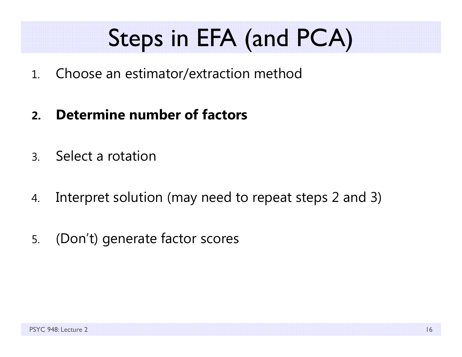# Steps in EFA (and PCA)

- 1.Choose an estimator/extraction method
- **2.Determine number of factors**
- 3.Select a rotation
- 4.Interpret solution (may need to repeat steps 2 and 3)
- 5.(Don't) generate factor scores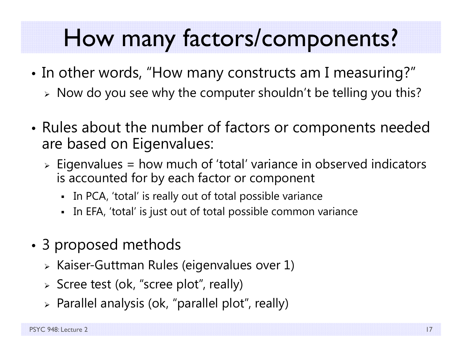#### How many factors/components?

- •• In other words, "How many constructs am I measuring?"
	- $\triangleright$  Now do you see why the computer shouldn't be telling you this?
- • Rules about the number of factors or components needed are based on Eigenvalues:
	- Eigenvalues = how much of 'total' variance in observed indicators is accounted for by each factor or component
		- In PCA, 'total' is really out of total possible variance
		- In EFA, 'total' is just out of total possible common variance
- • 3 proposed methods
	- $\triangleright$  Kaiser-Guttman Rules (eigenvalues over 1)
	- Scree test (ok, "scree plot", really)
	- $\triangleright$  Parallel analysis (ok, "parallel plot", really)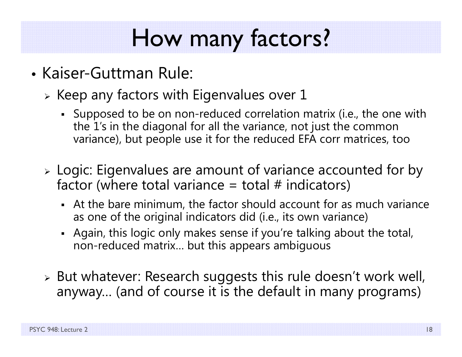# How many factors?

- Kaiser-Guttman Rule:
	- $\triangleright$  Keep any factors with Eigenvalues over 1
		- Supposed to be on non-reduced correlation matrix (i.e., the one with the 1's in the diagonal for all the variance, not just the common variance), but people use it for the reduced EFA corr matrices, too
	- Logic: Eigenvalues are amount of variance accounted for by factor (where total variance  $=$  total  $#$  indicators)
		- At the bare minimum, the factor should account for as much variance as one of the original indicators did (i.e., its own variance)
		- Again, this logic only makes sense if you're talking about the total, non-reduced matrix… but this appears ambiguous
	- $\triangleright$  But whatever: Research suggests this rule doesn't work well, anyway… (and of course it is the default in many programs)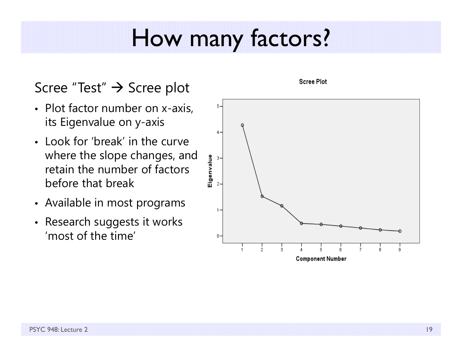#### How many factors?

#### Scree "Test" → Scree plot

- Plot factor number on x-axis, its Eigenvalue on y-axis
- Look for 'break' in the curve where the slope changes, and retain the number of factors before that break
- Available in most programs
- Research suggests it works 'most of the time'



#### **Scree Plot**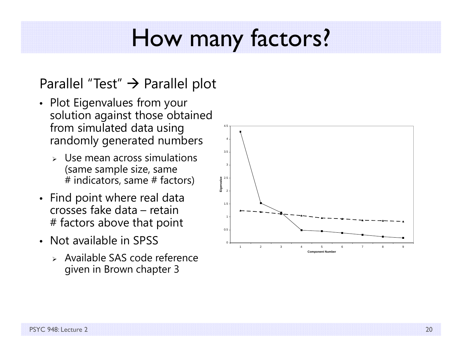#### How many factors?

#### Parallel "Test"  $\bm{\rightarrow}$  Parallel plot

- Plot Eigenvalues from your solution against those obtained from simulated data using randomly generated numbers
	- ➤ Use mean across simulations (same sample size, same # indicators, same # factors)
- Find point where real data crosses fake data – retain # factors above that point
- Not available in SPSS
	- Available SAS code reference given in Brown chapter 3

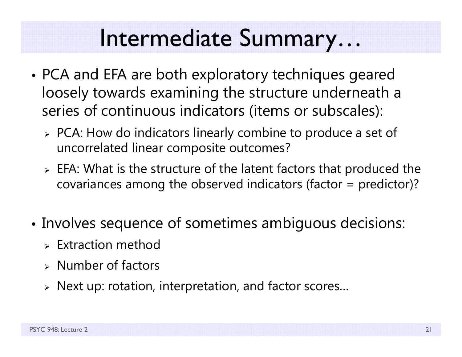#### Intermediate Summary…

- • PCA and EFA are both exploratory techniques geared loosely towards examining the structure underneath a series of continuous indicators (items or subscales):
	- PCA: How do indicators linearly combine to produce a set of uncorrelated linear composite outcomes?
	- $\triangleright$  EFA: What is the structure of the latent factors that produced the covariances among the observed indicators (factor = predictor)?
- • Involves sequence of sometimes ambiguous decisions:
	- $\triangleright$  Extraction method
	- $\triangleright$  Number of factors
	- Next up: rotation, interpretation, and factor scores…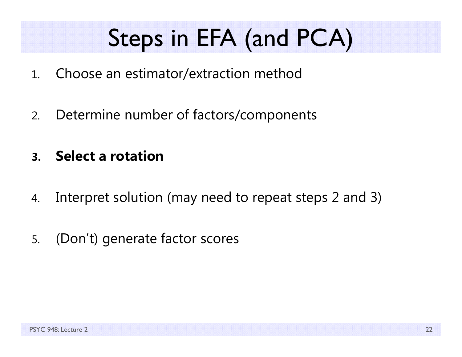# Steps in EFA (and PCA)

- 1.Choose an estimator/extraction method
- 2.Determine number of factors/components
- **3.Select a rotation**
- 4.Interpret solution (may need to repeat steps 2 and 3)
- 5.(Don't) generate factor scores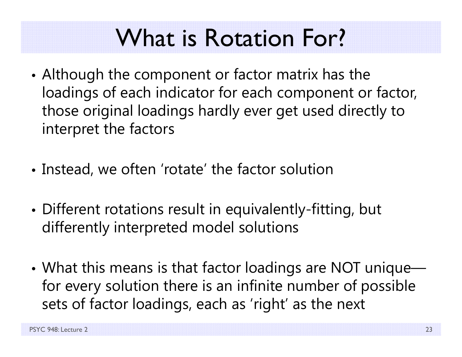# What is Rotation For?

- • Although the component or factor matrix has the loadings of each indicator for each component or factor, those original loadings hardly ever get used directly to interpret the factors
- Instead, we often 'rotate' the factor solution
- • Different rotations result in equivalently-fitting, but differently interpreted model solutions
- • What this means is that factor loadings are NOT unique for every solution there is an infinite number of possible sets of factor loadings, each as 'right' as the next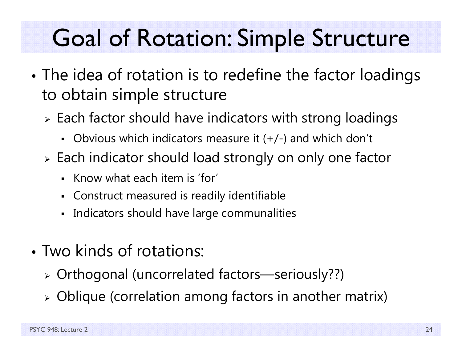# Goal of Rotation: Simple Structure

- • The idea of rotation is to redefine the factor loadings to obtain simple structure
	- $\triangleright$  Each factor should have indicators with strong loadings
		- Obvious which indicators measure it (+/-) and which don't
	- $\triangleright$  Each indicator should load strongly on only one factor
		- Know what each item is 'for'
		- Construct measured is readily identifiable
		- $\blacksquare$ Indicators should have large communalities
- Two kinds of rotations:
	- Orthogonal (uncorrelated factors—seriously??)
	- Oblique (correlation among factors in another matrix)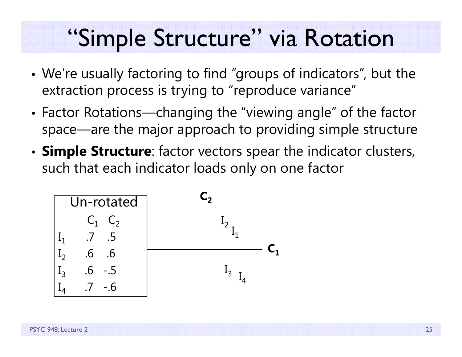#### "Simple Structure" via Rotation

- • We're usually factoring to find "groups of indicators", but the extraction process is trying to "reproduce variance"
- • Factor Rotations—changing the "viewing angle" of the factor space—are the major approach to providing simple structure
- • **Simple Structure**: factor vectors spear the indicator clusters, such that each indicator loads only on one factor

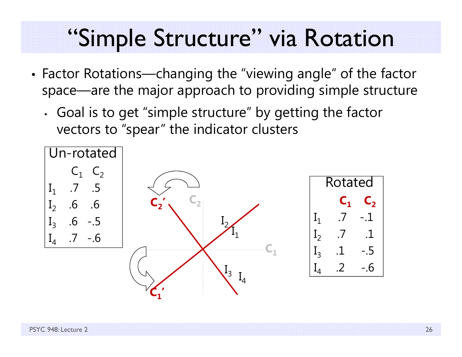#### "Simple Structure" via Rotation

- • Factor Rotations—changing the "viewing angle" of the factor space—are the major approach to providing simple structure
	- • Goal is to get "simple structure" by getting the factor vectors to "spear" the indicator clusters

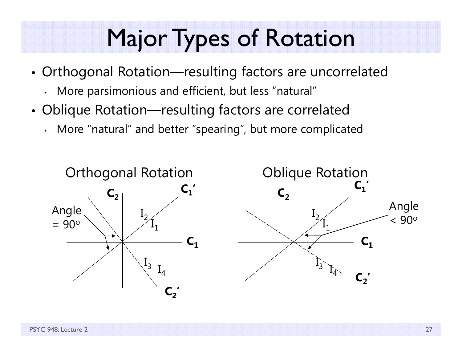### Major Types of Rotation

- • Orthogonal Rotation—resulting factors are uncorrelated
	- More parsimonious and efficient, but less "natural"
- • Oblique Rotation—resulting factors are correlated
	- More "natural" and better "spearing", but more complicated

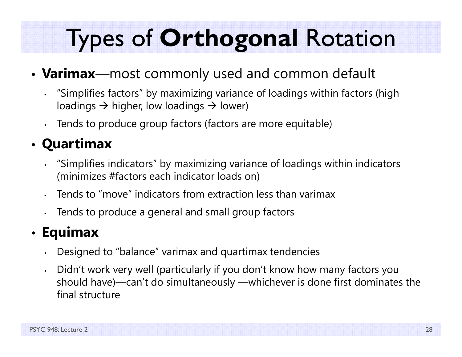# Types of **Orthogonal** Rotation

#### •**Varimax**—most commonly used and common default

- "Simplifies factors" by maximizing variance of loadings within factors (high loadings  $\rightarrow$  higher, low loadings  $\rightarrow$  lower)
- Tends to produce group factors (factors are more equitable)

#### • **Quartimax**

- "Simplifies indicators" by maximizing variance of loadings within indicators (minimizes #factors each indicator loads on)
- Tends to "move" indicators from extraction less than varimax
- •Tends to produce a general and small group factors

#### • **Equimax**

- Designed to "balance" varimax and quartimax tendencies
- • Didn't work very well (particularly if you don't know how many factors you should have)—can't do simultaneously —whichever is done first dominates the final structure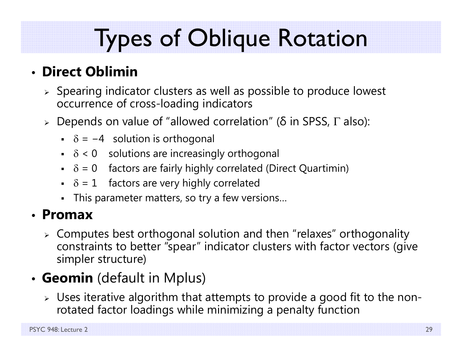# Types of Oblique Rotation

#### • **Direct Oblimin**

- $\triangleright$  Spearing indicator clusters as well as possible to produce lowest occurrence of cross-loading indicators
- $\triangleright$  Depends on value of "allowed correlation" (δ in SPSS, Γ also):
	- $\overline{\phantom{a}}$  = −4  $\phantom{a}$  solution is orthogonal
	- $\bullet$   $\delta$  < 0 solutions are increasingly orthogonal
	- $\delta$  = 0 factors are fairly highly correlated (Direct Quartimin)
	- $\bullet$   $\delta$  = 1 factors are very highly correlated
	- This parameter matters, so try a few versions…

#### • **Promax**

 $\triangleright$  Computes best orthogonal solution and then "relaxes" orthogonality constraints to better "spear" indicator clusters with factor vectors (give simpler structure)

#### • **Geomin** (default in Mplus)

 $\triangleright$  Uses iterative algorithm that attempts to provide a good fit to the nonrotated factor loadings while minimizing a penalty function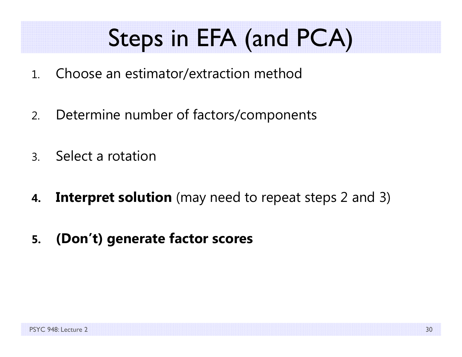# Steps in EFA (and PCA)

- 1.Choose an estimator/extraction method
- 2.Determine number of factors/components
- 3.Select a rotation
- **4.Interpret solution** (may need to repeat steps 2 and 3)
- **5.(Don't) generate factor scores**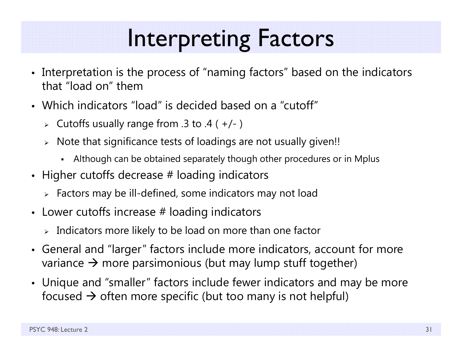#### Interpreting Factors

- Interpretation is the process of "naming factors" based on the indicators that "load on" them
- Which indicators "load" is decided based on a "cutoff"
	- Cutoffs usually range from .3 to .4 ( +/- )
	- $\triangleright$   $\,$  Note that significance tests of loadings are not usually given!!
		- Although can be obtained separately though other procedures or in Mplus
- $\bullet~$  Higher cutoffs decrease  $\#$  loading indicators
	- $\triangleright$  Factors may be ill-defined, some indicators may not load
- $\bullet~$  Lower cutoffs increase  $\#$  loading indicators
	- $\triangleright$  Indicators more likely to be load on more than one factor
- General and "larger" factors include more indicators, account for more variance  $\bm{\rightarrow}$  more parsimonious (but may lump stuff together)
- Unique and "smaller" factors include fewer indicators and may be more focused  $\bm{\rightarrow}$  often more specific (but too many is not helpful)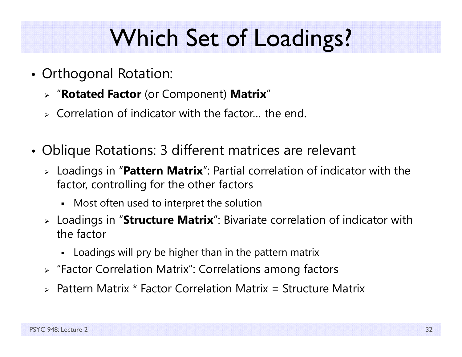# Which Set of Loadings?

- Orthogonal Rotation:
	- "**Rotated Factor** (or Component) **Matrix** "
	- $\triangleright$  Correlation of indicator with the factor... the end.
- • Oblique Rotations: 3 different matrices are relevant
	- Loadings in "**Pattern Matrix**": Partial correlation of indicator with the factor, controlling for the other factors
		- Most often used to interpret the solution
	- Loadings in "**Structure Matrix**": Bivariate correlation of indicator with the factor
		- Loadings will pry be higher than in the pattern matrix
	- "Factor Correlation Matrix": Correlations among factors
	- Pattern Matrix \* Factor Correlation Matrix = Structure Matrix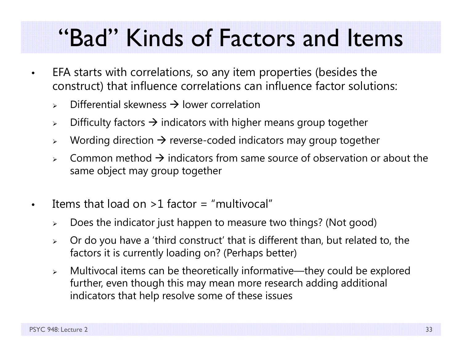### "Bad" Kinds of Factors and Items

- • EFA starts with correlations, so any item properties (besides the construct) that influence correlations can influence factor solutions:
	- $\blacktriangleright$  $\triangleright$  Differential skewness  $\rightarrow$  lower correlation
	- $\blacktriangleright$  $\triangleright\quad$  Difficulty factors  $\rightarrow$  indicators with higher means group together
	- $\blacktriangleright$  $\triangleright \quad$  Wording direction  $\rightarrow$  reverse-coded indicators may group together
	- $\blacktriangleright$  $\triangleright$  Common method  $\rightarrow$  indicators from same source of observation or about the same object may group together
- •Items that load on  $>1$  factor = "multivocal"
	- $\blacktriangleright$ Does the indicator just happen to measure two things? (Not good)
	- $\blacktriangleright$  Or do you have a 'third construct' that is different than, but related to, the factors it is currently loading on? (Perhaps better)
	- $\blacktriangleright$  Multivocal items can be theoretically informative—they could be explored further, even though this may mean more research adding additional indicators that help resolve some of these issues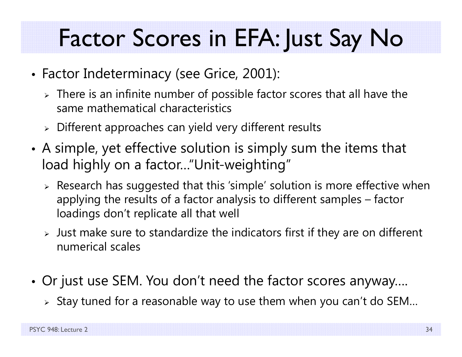# Factor Scores in EFA: Just Say No

- Factor Indeterminacy (see Grice, 2001):
	- $\triangleright$  There is an infinite number of possible factor scores that all have the same mathematical characteristics
	- $\triangleright$  Different approaches can yield very different results
- • A simple, yet effective solution is simply sum the items that load highly on a factor…"Unit-weighting"
	- $\triangleright$  Research has suggested that this 'simple' solution is more effective when applying the results of a factor analysis to different samples – factor loadings don't replicate all that well
	- $\triangleright$  Just make sure to standardize the indicators first if they are on different numerical scales
- • Or just use SEM. You don't need the factor scores anyway….
	- $\triangleright$  Stay tuned for a reasonable way to use them when you can't do SEM...